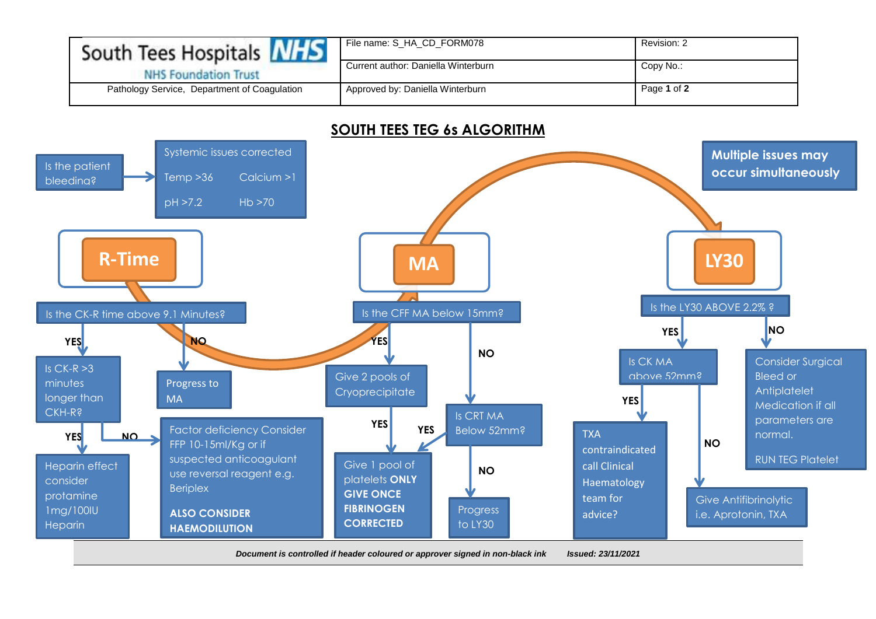| South Tees Hospitals <b>NHS</b>              | File name: S HA CD FORM078          | Revision: 2 |
|----------------------------------------------|-------------------------------------|-------------|
| <b>NHS Foundation Trust</b>                  | Current author: Daniella Winterburn | Copy No.:   |
| Pathology Service, Department of Coagulation | Approved by: Daniella Winterburn    | Page 1 of 2 |

## **SOUTH TEES TEG 6s ALGORITHM**